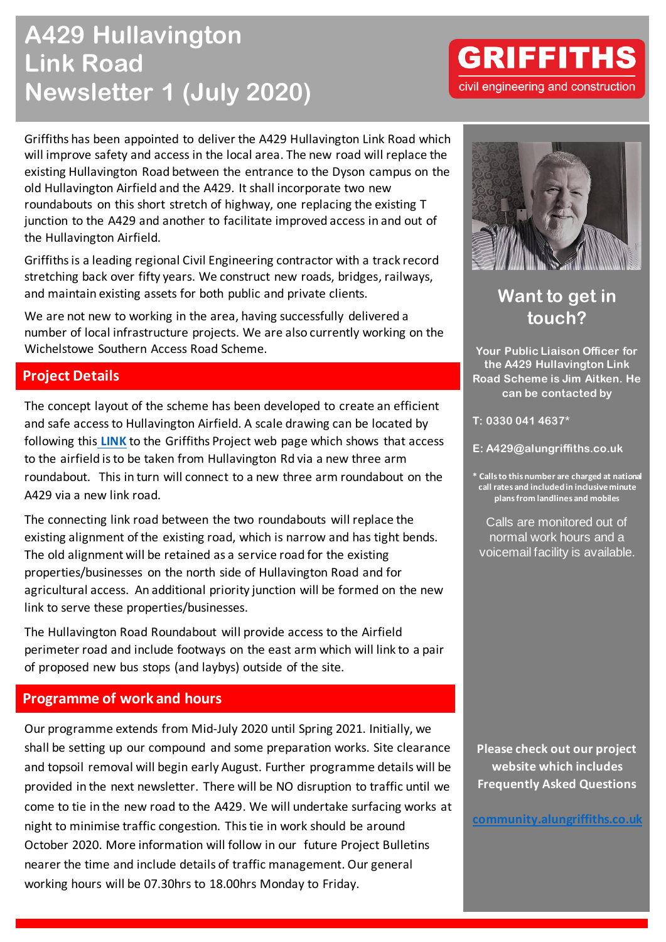# **A429 Hullavington Link Road Newsletter 1 (July 2020)**

Griffiths has been appointed to deliver the A429 Hullavington Link Road which will improve safety and access in the local area. The new road will replace the existing Hullavington Road between the entrance to the Dyson campus on the old Hullavington Airfield and the A429. It shall incorporate two new roundabouts on this short stretch of highway, one replacing the existing T junction to the A429 and another to facilitate improved access in and out of the Hullavington Airfield.

Griffiths is a leading regional Civil Engineering contractor with a track record stretching back over fifty years. We construct new roads, bridges, railways, and maintain existing assets for both public and private clients.

We are not new to working in the area, having successfully delivered a number of local infrastructure projects. We are also currently working on the Wichelstowe Southern Access Road Scheme.

#### **Project Details**

The concept layout of the scheme has been developed to create an efficient and safe access to Hullavington Airfield. A scale drawing can be located by following this **[LINK](https://community.alungriffiths.co.uk/a429-hullavington-access-road/)** to the Griffiths Project web page which shows that access to the airfield is to be taken from Hullavington Rd via a new three arm roundabout. This in turn will connect to a new three arm roundabout on the A429 via a new link road.

The connecting link road between the two roundabouts will replace the existing alignment of the existing road, which is narrow and has tight bends. The old alignment will be retained as a service road for the existing properties/businesses on the north side of Hullavington Road and for agricultural access. An additional priority junction will be formed on the new link to serve these properties/businesses.

The Hullavington Road Roundabout will provide access to the Airfield perimeter road and include footways on the east arm which will link to a pair of proposed new bus stops (and laybys) outside of the site.

### **Programme of work and hours**

Our programme extends from Mid-July 2020 until Spring 2021. Initially, we shall be setting up our compound and some preparation works. Site clearance and topsoil removal will begin early August. Further programme details will be provided in the next newsletter. There will be NO disruption to traffic until we come to tie in the new road to the A429. We will undertake surfacing works at night to minimise traffic congestion. This tie in work should be around October 2020. More information will follow in our future Project Bulletins nearer the time and include details of traffic management. Our general working hours will be 07.30hrs to 18.00hrs Monday to Friday.

**GRIFFITHS** 



**Want to get in touch?**

**Your Public Liaison Officer for the A429 Hullavington Link Road Scheme is Jim Aitken. He can be contacted by**

**T: 0330 041 4637\***

**E: A429@alungriffiths.co.uk**

**\* Calls to this number are charged at national call rates and included in inclusive minute plans from landlines and mobiles**

Calls are monitored out of normal work hours and a voicemail facility is available.

**Please check out our project website which includes Frequently Asked Questions**

**[community.alungriffiths.co.uk](https://community.alungriffiths.co.uk/a429-hullavington-access-road/)**